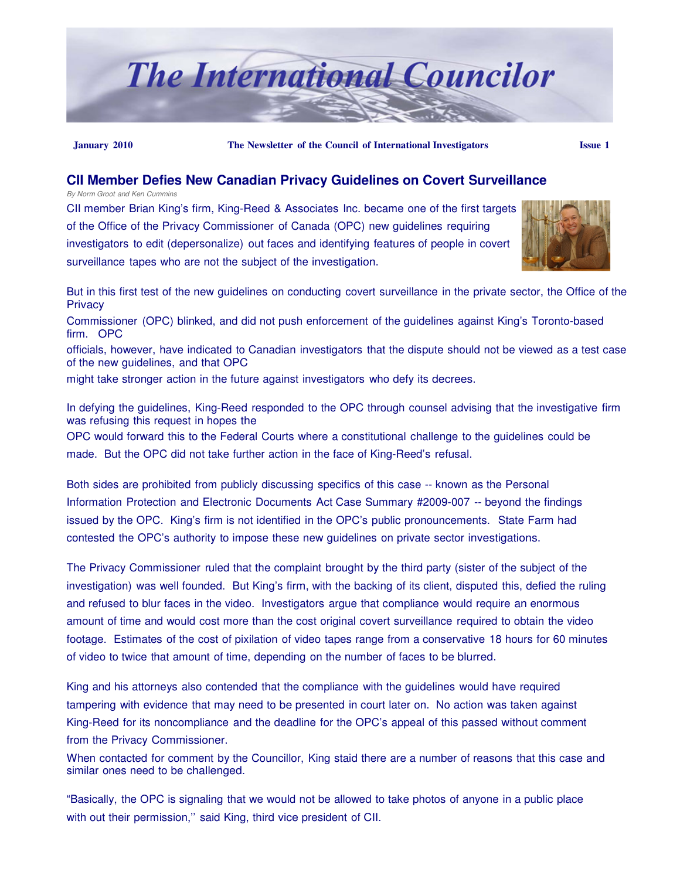

#### **January 2010 The Newsletter of the Council of International Investigators Issue 1**

#### **CII Member Defies New Canadian Privacy Guidelines on Covert Surveillance**

*By Norm Groot and Ken Cummins*

CII member Brian King's firm, King-Reed & Associates Inc. became one of the first targets of the Office of the Privacy Commissioner of Canada (OPC) new guidelines requiring investigators to edit (depersonalize) out faces and identifying features of people in covert surveillance tapes who are not the subject of the investigation.



But in this first test of the new guidelines on conducting covert surveillance in the private sector, the Office of the **Privacy** Commissioner (OPC) blinked, and did not push enforcement of the guidelines against King's Toronto-based

firm. OPC

officials, however, have indicated to Canadian investigators that the dispute should not be viewed as a test case of the new guidelines, and that OPC

might take stronger action in the future against investigators who defy its decrees.

In defying the guidelines, King-Reed responded to the OPC through counsel advising that the investigative firm was refusing this request in hopes the

OPC would forward this to the Federal Courts where a constitutional challenge to the guidelines could be made. But the OPC did not take further action in the face of King-Reed's refusal.

Both sides are prohibited from publicly discussing specifics of this case -- known as the Personal Information Protection and Electronic Documents Act Case Summary #2009-007 -- beyond the findings issued by the OPC. King's firm is not identified in the OPC's public pronouncements. State Farm had contested the OPC's authority to impose these new guidelines on private sector investigations.

The Privacy Commissioner ruled that the complaint brought by the third party (sister of the subject of the investigation) was well founded. But King's firm, with the backing of its client, disputed this, defied the ruling and refused to blur faces in the video. Investigators argue that compliance would require an enormous amount of time and would cost more than the cost original covert surveillance required to obtain the video footage. Estimates of the cost of pixilation of video tapes range from a conservative 18 hours for 60 minutes of video to twice that amount of time, depending on the number of faces to be blurred.

King and his attorneys also contended that the compliance with the guidelines would have required tampering with evidence that may need to be presented in court later on. No action was taken against King-Reed for its noncompliance and the deadline for the OPC's appeal of this passed without comment from the Privacy Commissioner.

When contacted for comment by the Councillor, King staid there are a number of reasons that this case and similar ones need to be challenged.

"Basically, the OPC is signaling that we would not be allowed to take photos of anyone in a public place with out their permission," said King, third vice president of CII.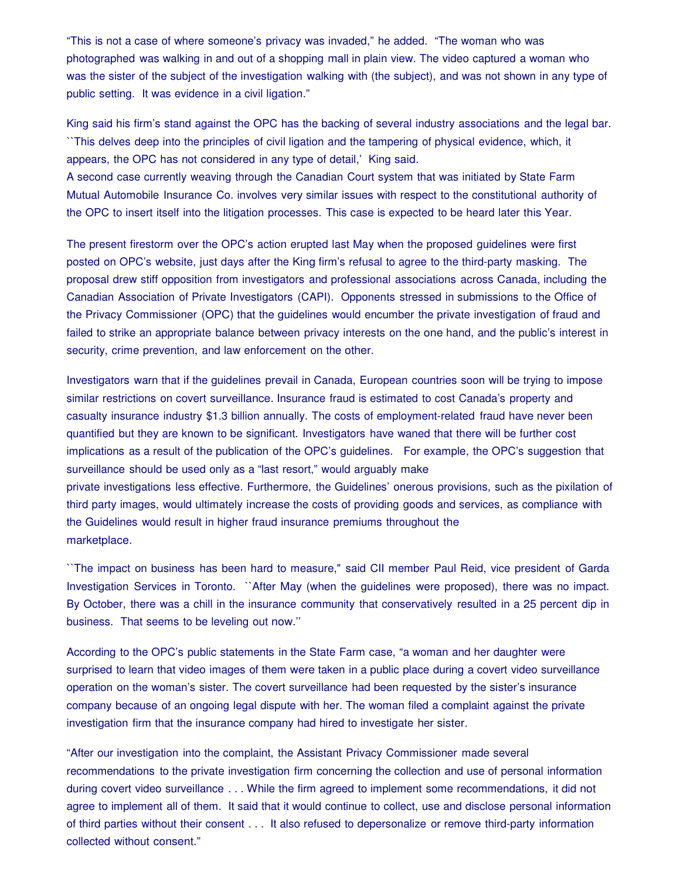"This is not a case of where someone's privacy was invaded," he added. "The woman who was photographed was walking in and out of a shopping mall in plain view. The video captured a woman who was the sister of the subject of the investigation walking with (the subject), and was not shown in any type of public setting. It was evidence in a civil ligation."

King said his firm's stand against the OPC has the backing of several industry associations and the legal bar. ``This delves deep into the principles of civil ligation and the tampering of physical evidence, which, it appears, the OPC has not considered in any type of detail,' King said.

A second case currently weaving through the Canadian Court system that was initiated by State Farm Mutual Automobile Insurance Co. involves very similar issues with respect to the constitutional authority of the OPC to insert itself into the litigation processes. This case is expected to be heard later this Year.

The present firestorm over the OPC's action erupted last May when the proposed guidelines were first posted on OPC's website, just days after the King firm's refusal to agree to the third-party masking. The proposal drew stiff opposition from investigators and professional associations across Canada, including the Canadian Association of Private Investigators (CAPI). Opponents stressed in submissions to the Office of the Privacy Commissioner (OPC) that the guidelines would encumber the private investigation of fraud and failed to strike an appropriate balance between privacy interests on the one hand, and the public's interest in security, crime prevention, and law enforcement on the other.

Investigators warn that if the guidelines prevail in Canada, European countries soon will be trying to impose similar restrictions on covert surveillance. Insurance fraud is estimated to cost Canada's property and casualty insurance industry \$1.3 billion annually. The costs of employment-related fraud have never been quantified but they are known to be significant. Investigators have waned that there will be further cost implications as a result of the publication of the OPC's guidelines. For example, the OPC's suggestion that surveillance should be used only as a "last resort," would arguably make private investigations less effective. Furthermore, the Guidelines' onerous provisions, such as the pixilation of third party images, would ultimately increase the costs of providing goods and services, as compliance with the Guidelines would result in higher fraud insurance premiums throughout the marketplace.

``The impact on business has been hard to measure," said CII member Paul Reid, vice president of Garda Investigation Services in Toronto. ``After May (when the guidelines were proposed), there was no impact. By October, there was a chill in the insurance community that conservatively resulted in a 25 percent dip in business. That seems to be leveling out now.''

According to the OPC's public statements in the State Farm case, "a woman and her daughter were surprised to learn that video images of them were taken in a public place during a covert video surveillance operation on the woman's sister. The covert surveillance had been requested by the sister's insurance company because of an ongoing legal dispute with her. The woman filed a complaint against the private investigation firm that the insurance company had hired to investigate her sister.

"After our investigation into the complaint, the Assistant Privacy Commissioner made several recommendations to the private investigation firm concerning the collection and use of personal information during covert video surveillance . . . While the firm agreed to implement some recommendations, it did not agree to implement all of them. It said that it would continue to collect, use and disclose personal information of third parties without their consent . . . It also refused to depersonalize or remove third-party information collected without consent."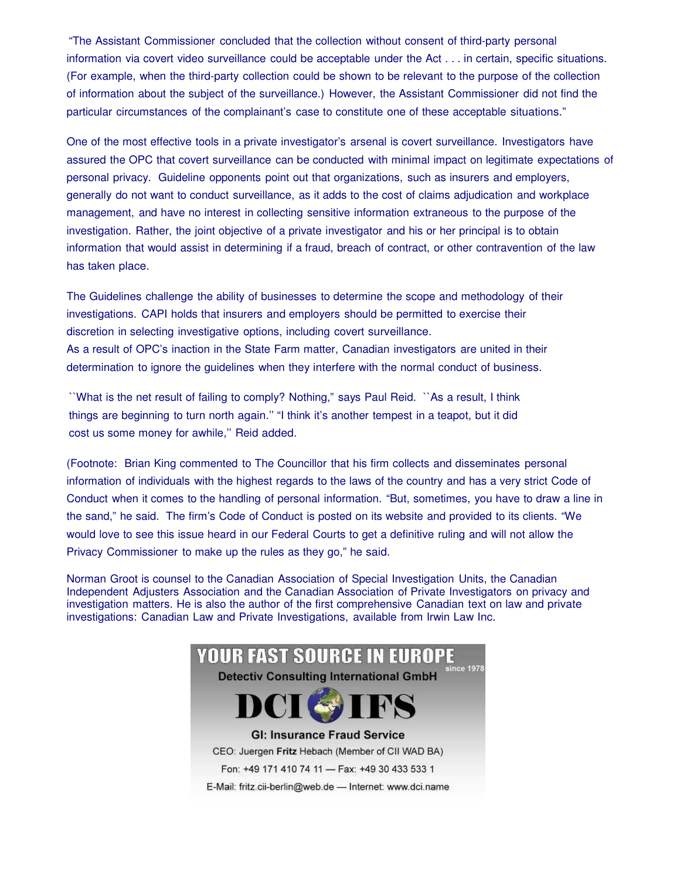"The Assistant Commissioner concluded that the collection without consent of third-party personal information via covert video surveillance could be acceptable under the Act . . . in certain, specific situations. (For example, when the third-party collection could be shown to be relevant to the purpose of the collection of information about the subject of the surveillance.) However, the Assistant Commissioner did not find the particular circumstances of the complainant's case to constitute one of these acceptable situations."

One of the most effective tools in a private investigator's arsenal is covert surveillance. Investigators have assured the OPC that covert surveillance can be conducted with minimal impact on legitimate expectations of personal privacy. Guideline opponents point out that organizations, such as insurers and employers, generally do not want to conduct surveillance, as it adds to the cost of claims adjudication and workplace management, and have no interest in collecting sensitive information extraneous to the purpose of the investigation. Rather, the joint objective of a private investigator and his or her principal is to obtain information that would assist in determining if a fraud, breach of contract, or other contravention of the law has taken place.

The Guidelines challenge the ability of businesses to determine the scope and methodology of their investigations. CAPI holds that insurers and employers should be permitted to exercise their discretion in selecting investigative options, including covert surveillance. As a result of OPC's inaction in the State Farm matter, Canadian investigators are united in their determination to ignore the guidelines when they interfere with the normal conduct of business.

``What is the net result of failing to comply? Nothing," says Paul Reid. ``As a result, I think things are beginning to turn north again.'' "I think it's another tempest in a teapot, but it did cost us some money for awhile,'' Reid added.

(Footnote: Brian King commented to The Councillor that his firm collects and disseminates personal information of individuals with the highest regards to the laws of the country and has a very strict Code of Conduct when it comes to the handling of personal information. "But, sometimes, you have to draw a line in the sand," he said. The firm's Code of Conduct is posted on its website and provided to its clients. "We would love to see this issue heard in our Federal Courts to get a definitive ruling and will not allow the Privacy Commissioner to make up the rules as they go," he said.

Norman Groot is counsel to the Canadian Association of Special Investigation Units, the Canadian Independent Adjusters Association and the Canadian Association of Private Investigators on privacy and investigation matters. He is also the author of the first comprehensive Canadian text on law and private investigations: Canadian Law and Private Investigations, available from Irwin Law Inc.

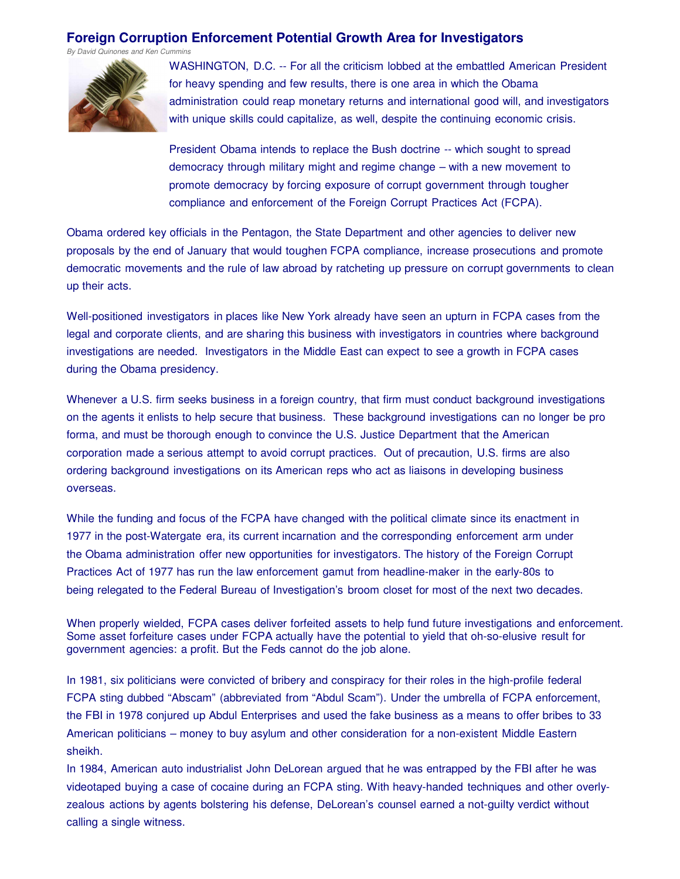#### **Foreign Corruption Enforcement Potential Growth Area for Investigators**

*By David Quinones and Ken Cummins*



WASHINGTON, D.C. -- For all the criticism lobbed at the embattled American President for heavy spending and few results, there is one area in which the Obama administration could reap monetary returns and international good will, and investigators with unique skills could capitalize, as well, despite the continuing economic crisis.

President Obama intends to replace the Bush doctrine -- which sought to spread democracy through military might and regime change – with a new movement to promote democracy by forcing exposure of corrupt government through tougher compliance and enforcement of the Foreign Corrupt Practices Act (FCPA).

Obama ordered key officials in the Pentagon, the State Department and other agencies to deliver new proposals by the end of January that would toughen FCPA compliance, increase prosecutions and promote democratic movements and the rule of law abroad by ratcheting up pressure on corrupt governments to clean up their acts.

Well-positioned investigators in places like New York already have seen an upturn in FCPA cases from the legal and corporate clients, and are sharing this business with investigators in countries where background investigations are needed. Investigators in the Middle East can expect to see a growth in FCPA cases during the Obama presidency.

Whenever a U.S. firm seeks business in a foreign country, that firm must conduct background investigations on the agents it enlists to help secure that business. These background investigations can no longer be pro forma, and must be thorough enough to convince the U.S. Justice Department that the American corporation made a serious attempt to avoid corrupt practices. Out of precaution, U.S. firms are also ordering background investigations on its American reps who act as liaisons in developing business overseas.

While the funding and focus of the FCPA have changed with the political climate since its enactment in 1977 in the post-Watergate era, its current incarnation and the corresponding enforcement arm under the Obama administration offer new opportunities for investigators. The history of the Foreign Corrupt Practices Act of 1977 has run the law enforcement gamut from headline-maker in the early-80s to being relegated to the Federal Bureau of Investigation's broom closet for most of the next two decades.

When properly wielded, FCPA cases deliver forfeited assets to help fund future investigations and enforcement. Some asset forfeiture cases under FCPA actually have the potential to yield that oh-so-elusive result for government agencies: a profit. But the Feds cannot do the job alone.

In 1981, six politicians were convicted of bribery and conspiracy for their roles in the high-profile federal FCPA sting dubbed "Abscam" (abbreviated from "Abdul Scam"). Under the umbrella of FCPA enforcement, the FBI in 1978 conjured up Abdul Enterprises and used the fake business as a means to offer bribes to 33 American politicians – money to buy asylum and other consideration for a non-existent Middle Eastern sheikh.

In 1984, American auto industrialist John DeLorean argued that he was entrapped by the FBI after he was videotaped buying a case of cocaine during an FCPA sting. With heavy-handed techniques and other overlyzealous actions by agents bolstering his defense, DeLorean's counsel earned a not-guilty verdict without calling a single witness.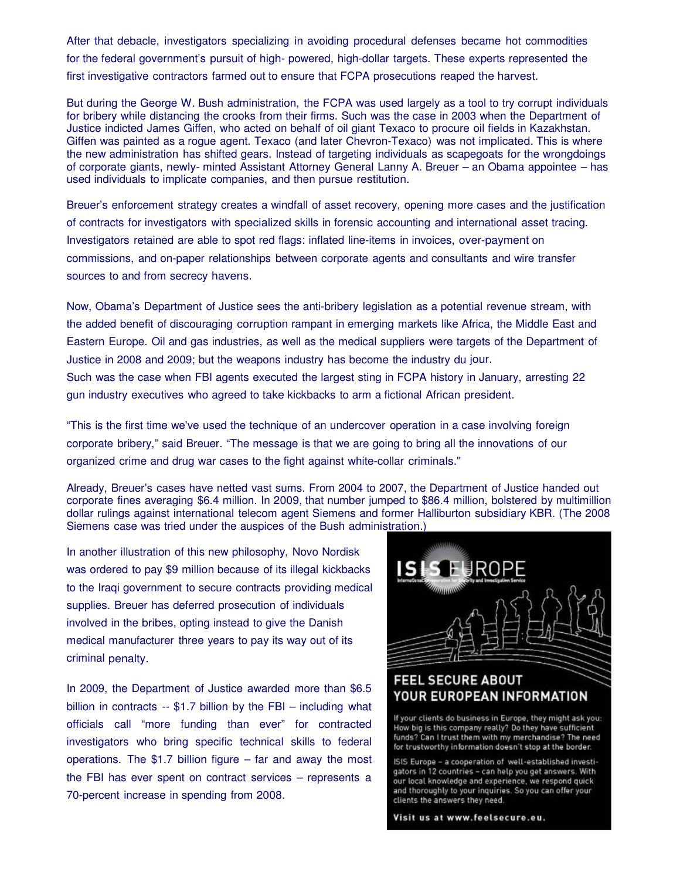After that debacle, investigators specializing in avoiding procedural defenses became hot commodities for the federal government's pursuit of high- powered, high-dollar targets. These experts represented the first investigative contractors farmed out to ensure that FCPA prosecutions reaped the harvest.

But during the George W. Bush administration, the FCPA was used largely as a tool to try corrupt individuals for bribery while distancing the crooks from their firms. Such was the case in 2003 when the Department of Justice indicted James Giffen, who acted on behalf of oil giant Texaco to procure oil fields in Kazakhstan. Giffen was painted as a rogue agent. Texaco (and later Chevron-Texaco) was not implicated. This is where the new administration has shifted gears. Instead of targeting individuals as scapegoats for the wrongdoings of corporate giants, newly- minted Assistant Attorney General Lanny A. Breuer – an Obama appointee – has used individuals to implicate companies, and then pursue restitution.

Breuer's enforcement strategy creates a windfall of asset recovery, opening more cases and the justification of contracts for investigators with specialized skills in forensic accounting and international asset tracing. Investigators retained are able to spot red flags: inflated line-items in invoices, over-payment on commissions, and on-paper relationships between corporate agents and consultants and wire transfer sources to and from secrecy havens.

Now, Obama's Department of Justice sees the anti-bribery legislation as a potential revenue stream, with the added benefit of discouraging corruption rampant in emerging markets like Africa, the Middle East and Eastern Europe. Oil and gas industries, as well as the medical suppliers were targets of the Department of Justice in 2008 and 2009; but the weapons industry has become the industry du jour.

Such was the case when FBI agents executed the largest sting in FCPA history in January, arresting 22 gun industry executives who agreed to take kickbacks to arm a fictional African president.

"This is the first time we've used the technique of an undercover operation in a case involving foreign corporate bribery," said Breuer. "The message is that we are going to bring all the innovations of our organized crime and drug war cases to the fight against white-collar criminals.''

Already, Breuer's cases have netted vast sums. From 2004 to 2007, the Department of Justice handed out corporate fines averaging \$6.4 million. In 2009, that number jumped to \$86.4 million, bolstered by multimillion dollar rulings against international telecom agent Siemens and former Halliburton subsidiary KBR. (The 2008 Siemens case was tried under the auspices of the Bush administration.)

In another illustration of this new philosophy, Novo Nordisk was ordered to pay \$9 million because of its illegal kickbacks to the Iraqi government to secure contracts providing medical supplies. Breuer has deferred prosecution of individuals involved in the bribes, opting instead to give the Danish medical manufacturer three years to pay its way out of its criminal penalty.

In 2009, the Department of Justice awarded more than \$6.5 billion in contracts -- \$1.7 billion by the FBI – including what officials call "more funding than ever" for contracted investigators who bring specific technical skills to federal operations. The \$1.7 billion figure – far and away the most the FBI has ever spent on contract services – represents a 70-percent increase in spending from 2008.



## YOUR EUROPEAN INFORMATION

If your clients do business in Europe, they might ask you: How big is this company really? Do they have sufficient<br>funds? Can I trust them with my merchandise? The need for trustworthy information doesn't stop at the border.

ISIS Europe - a cooperation of well-established investigators in 12 countries - can help you get answers. With our local knowledge and experience, we respond quick and thoroughly to your inquiries. So you can offer your clients the answers they need.

Visit us at www.feelsecure.eu.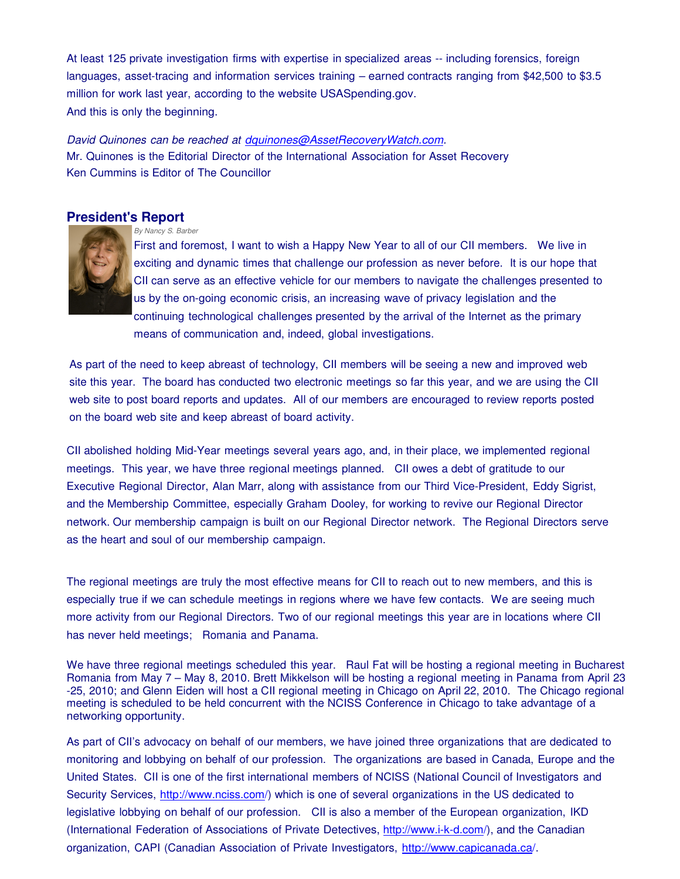At least 125 private investigation firms with expertise in specialized areas -- including forensics, foreign languages, asset-tracing and information services training – earned contracts ranging from \$42,500 to \$3.5 million for work last year, according to the website USASpending.gov. And this is only the beginning.

#### *David Quinones can be reached at dquinones@AssetRecoveryWatch.com.* Mr. Quinones is the Editorial Director of the International Association for Asset Recovery Ken Cummins is Editor of The Councillor

#### **President's Report**

*By Nancy S. Barber*



First and foremost, I want to wish a Happy New Year to all of our CII members. We live in exciting and dynamic times that challenge our profession as never before. It is our hope that CII can serve as an effective vehicle for our members to navigate the challenges presented to us by the on-going economic crisis, an increasing wave of privacy legislation and the continuing technological challenges presented by the arrival of the Internet as the primary means of communication and, indeed, global investigations.

As part of the need to keep abreast of technology, CII members will be seeing a new and improved web site this year. The board has conducted two electronic meetings so far this year, and we are using the CII web site to post board reports and updates. All of our members are encouraged to review reports posted on the board web site and keep abreast of board activity.

CII abolished holding Mid-Year meetings several years ago, and, in their place, we implemented regional meetings. This year, we have three regional meetings planned. CII owes a debt of gratitude to our Executive Regional Director, Alan Marr, along with assistance from our Third Vice-President, Eddy Sigrist, and the Membership Committee, especially Graham Dooley, for working to revive our Regional Director network. Our membership campaign is built on our Regional Director network. The Regional Directors serve as the heart and soul of our membership campaign.

The regional meetings are truly the most effective means for CII to reach out to new members, and this is especially true if we can schedule meetings in regions where we have few contacts. We are seeing much more activity from our Regional Directors. Two of our regional meetings this year are in locations where CII has never held meetings; Romania and Panama.

We have three regional meetings scheduled this year. Raul Fat will be hosting a regional meeting in Bucharest Romania from May 7 – May 8, 2010. Brett Mikkelson will be hosting a regional meeting in Panama from April 23 -25, 2010; and Glenn Eiden will host a CII regional meeting in Chicago on April 22, 2010. The Chicago regional meeting is scheduled to be held concurrent with the NCISS Conference in Chicago to take advantage of a networking opportunity.

As part of CII's advocacy on behalf of our members, we have joined three organizations that are dedicated to monitoring and lobbying on behalf of our profession. The organizations are based in Canada, Europe and the United States. CII is one of the first international members of NCISS (National Council of Investigators and Security Services, http://www.nciss.com/) which is one of several organizations in the US dedicated to legislative lobbying on behalf of our profession. CII is also a member of the European organization, IKD (International Federation of Associations of Private Detectives, http://www.i-k-d.com/), and the Canadian organization, CAPI (Canadian Association of Private Investigators, http://www.capicanada.ca/.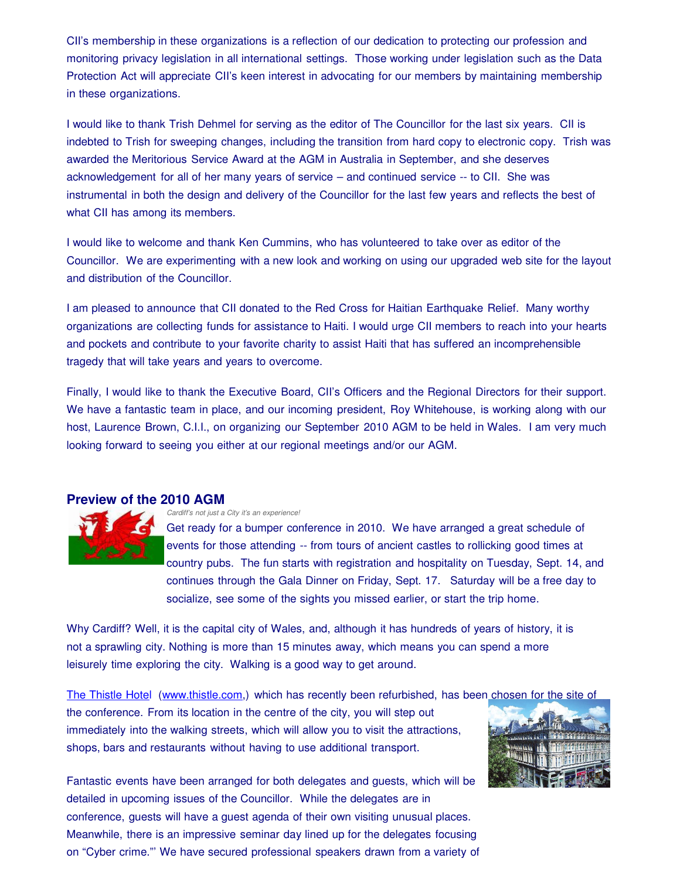CII's membership in these organizations is a reflection of our dedication to protecting our profession and monitoring privacy legislation in all international settings. Those working under legislation such as the Data Protection Act will appreciate CII's keen interest in advocating for our members by maintaining membership in these organizations.

I would like to thank Trish Dehmel for serving as the editor of The Councillor for the last six years. CII is indebted to Trish for sweeping changes, including the transition from hard copy to electronic copy. Trish was awarded the Meritorious Service Award at the AGM in Australia in September, and she deserves acknowledgement for all of her many years of service – and continued service -- to CII. She was instrumental in both the design and delivery of the Councillor for the last few years and reflects the best of what CII has among its members.

I would like to welcome and thank Ken Cummins, who has volunteered to take over as editor of the Councillor. We are experimenting with a new look and working on using our upgraded web site for the layout and distribution of the Councillor.

I am pleased to announce that CII donated to the Red Cross for Haitian Earthquake Relief. Many worthy organizations are collecting funds for assistance to Haiti. I would urge CII members to reach into your hearts and pockets and contribute to your favorite charity to assist Haiti that has suffered an incomprehensible tragedy that will take years and years to overcome.

Finally, I would like to thank the Executive Board, CII's Officers and the Regional Directors for their support. We have a fantastic team in place, and our incoming president, Roy Whitehouse, is working along with our host, Laurence Brown, C.I.I., on organizing our September 2010 AGM to be held in Wales. I am very much looking forward to seeing you either at our regional meetings and/or our AGM.

#### **Preview of the 2010 AGM**



*Cardiff's not just a City it's an experience!*

Get ready for a bumper conference in 2010. We have arranged a great schedule of events for those attending -- from tours of ancient castles to rollicking good times at country pubs. The fun starts with registration and hospitality on Tuesday, Sept. 14, and continues through the Gala Dinner on Friday, Sept. 17. Saturday will be a free day to socialize, see some of the sights you missed earlier, or start the trip home.

Why Cardiff? Well, it is the capital city of Wales, and, although it has hundreds of years of history, it is not a sprawling city. Nothing is more than 15 minutes away, which means you can spend a more leisurely time exploring the city. Walking is a good way to get around.

The Thistle Hotel (www.thistle.com,) which has recently been refurbished, has been chosen for the site of

the conference. From its location in the centre of the city, you will step out immediately into the walking streets, which will allow you to visit the attractions, shops, bars and restaurants without having to use additional transport.



Fantastic events have been arranged for both delegates and guests, which will be detailed in upcoming issues of the Councillor. While the delegates are in conference, guests will have a guest agenda of their own visiting unusual places. Meanwhile, there is an impressive seminar day lined up for the delegates focusing on "Cyber crime."' We have secured professional speakers drawn from a variety of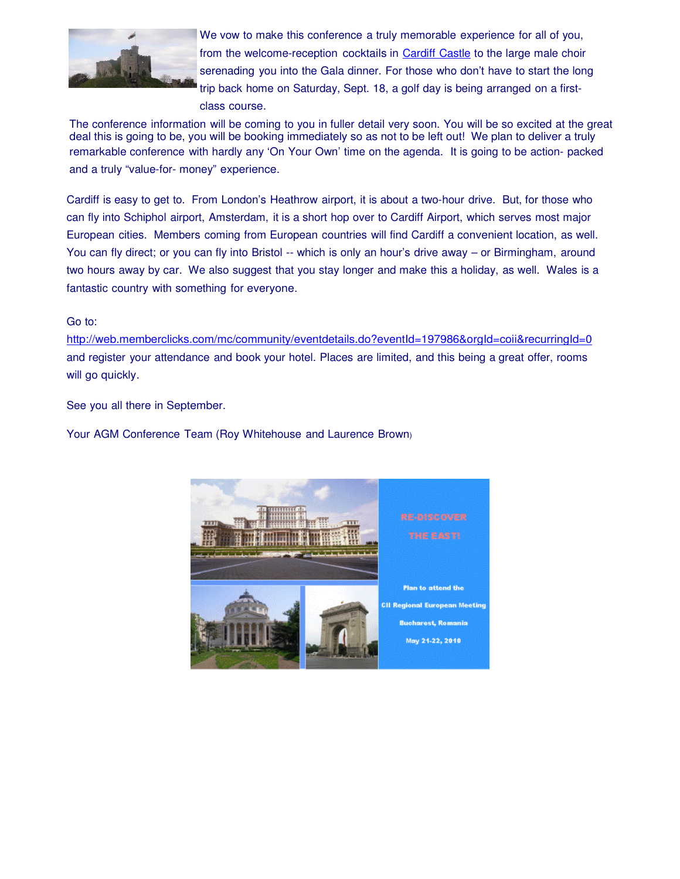

We vow to make this conference a truly memorable experience for all of you, from the welcome-reception cocktails in Cardiff Castle to the large male choir serenading you into the Gala dinner. For those who don't have to start the long trip back home on Saturday, Sept. 18, a golf day is being arranged on a firstclass course.

The conference information will be coming to you in fuller detail very soon. You will be so excited at the great deal this is going to be, you will be booking immediately so as not to be left out! We plan to deliver a truly remarkable conference with hardly any 'On Your Own' time on the agenda. It is going to be action- packed and a truly "value-for- money" experience.

Cardiff is easy to get to. From London's Heathrow airport, it is about a two-hour drive. But, for those who can fly into Schiphol airport, Amsterdam, it is a short hop over to Cardiff Airport, which serves most major European cities. Members coming from European countries will find Cardiff a convenient location, as well. You can fly direct; or you can fly into Bristol -- which is only an hour's drive away – or Birmingham, around two hours away by car. We also suggest that you stay longer and make this a holiday, as well. Wales is a fantastic country with something for everyone.

#### Go to:

http://web.memberclicks.com/mc/community/eventdetails.do?eventId=197986&orgId=coii&recurringId=0 and register your attendance and book your hotel. Places are limited, and this being a great offer, rooms will go quickly.

See you all there in September.

Your AGM Conference Team (Roy Whitehouse and Laurence Brown)

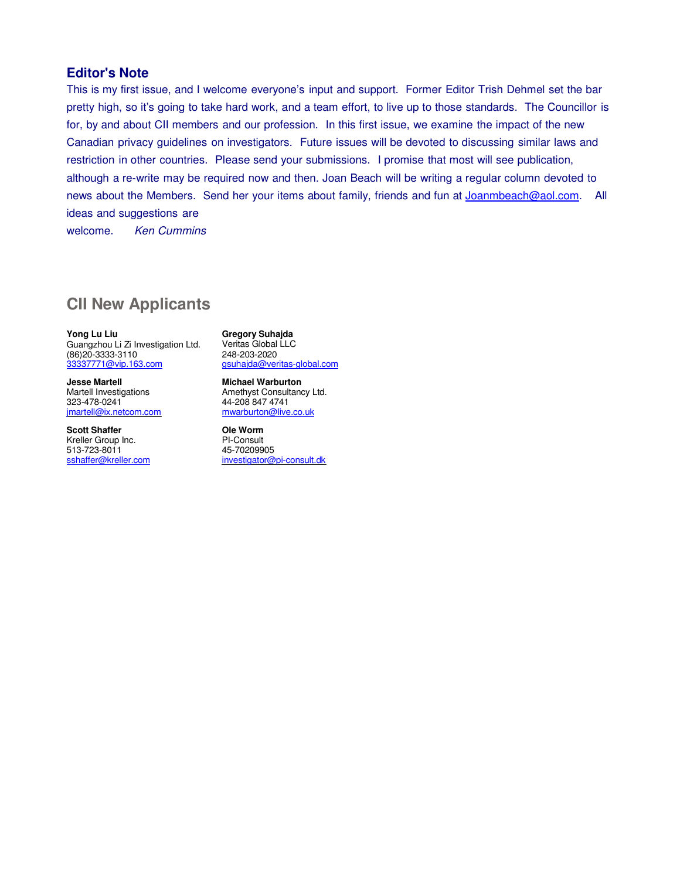#### **Editor's Note**

This is my first issue, and I welcome everyone's input and support. Former Editor Trish Dehmel set the bar pretty high, so it's going to take hard work, and a team effort, to live up to those standards. The Councillor is for, by and about CII members and our profession. In this first issue, we examine the impact of the new Canadian privacy guidelines on investigators. Future issues will be devoted to discussing similar laws and restriction in other countries. Please send your submissions. I promise that most will see publication, although a re-write may be required now and then. Joan Beach will be writing a regular column devoted to news about the Members. Send her your items about family, friends and fun at *Joanmbeach@aol.com*. All ideas and suggestions are

welcome. *Ken Cummins*

#### **CII New Applicants**

**Yong Lu Liu**

Guangzhou Li Zi Investigation Ltd. (86)20-3333-3110 33337771@vip.163.com

**Jesse Martell** Martell Investigations 323-478-0241 jmartell@ix.netcom.com

**Scott Shaffer** Kreller Group Inc. 513-723-8011 sshaffer@kreller.com

**Gregory Suhajda** Veritas Global LLC 248-203-2020 gsuhajda@veritas-global.com

**Michael Warburton** Amethyst Consultancy Ltd. 44-208 847 4741 mwarburton@live.co.uk

**Ole Worm** PI-Consult 45-70209905 investigator@pi-consult.dk